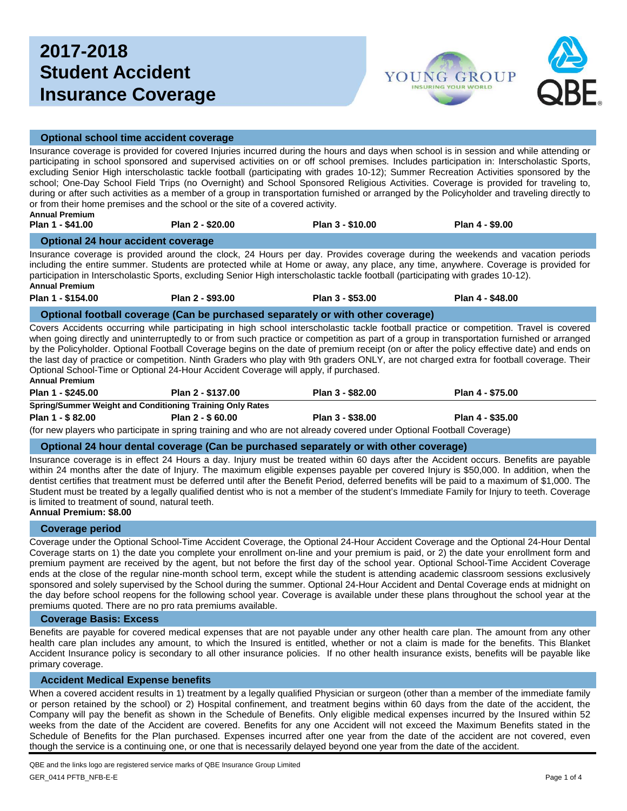# **2017-2018 Student Accident Insurance Coverage**



## **Optional school time accident coverage**

Insurance coverage is provided for covered Injuries incurred during the hours and days when school is in session and while attending or participating in school sponsored and supervised activities on or off school premises. Includes participation in: Interscholastic Sports, excluding Senior High interscholastic tackle football (participating with grades 10-12); Summer Recreation Activities sponsored by the school; One-Day School Field Trips (no Overnight) and School Sponsored Religious Activities. Coverage is provided for traveling to, during or after such activities as a member of a group in transportation furnished or arranged by the Policyholder and traveling directly to or from their home premises and the school or the site of a covered activity. **Annual Premium**

| Plan 1 - \$41.00 | Plan 2 - \$20.00 | Plan 3 - \$10.00 | Plan 4 - \$9.00 |
|------------------|------------------|------------------|-----------------|
|                  |                  |                  |                 |

### **Optional 24 hour accident coverage**

Insurance coverage is provided around the clock, 24 Hours per day. Provides coverage during the weekends and vacation periods including the entire summer. Students are protected while at Home or away, any place, any time, anywhere. Coverage is provided for participation in Interscholastic Sports, excluding Senior High interscholastic tackle football (participating with grades 10-12). **Annual Premium**

**Plan 1 - \$154.00 Plan 2 - \$93.00 Plan 3 - \$53.00 Plan 4 - \$48.00**

**Optional football coverage (Can be purchased separately or with other coverage)**

Covers Accidents occurring while participating in high school interscholastic tackle football practice or competition. Travel is covered when going directly and uninterruptedly to or from such practice or competition as part of a group in transportation furnished or arranged by the Policyholder. Optional Football Coverage begins on the date of premium receipt (on or after the policy effective date) and ends on the last day of practice or competition. Ninth Graders who play with 9th graders ONLY, are not charged extra for football coverage. Their Optional School-Time or Optional 24-Hour Accident Coverage will apply, if purchased.

#### **Annual Premium**

| Plan 1 - \$245.00                                         | Plan 2 - \$137.00                                                                                                     | Plan 3 - \$82.00 | Plan 4 - \$75.00 |  |  |  |  |  |  |
|-----------------------------------------------------------|-----------------------------------------------------------------------------------------------------------------------|------------------|------------------|--|--|--|--|--|--|
| Spring/Summer Weight and Conditioning Training Only Rates |                                                                                                                       |                  |                  |  |  |  |  |  |  |
| Plan 1 - \$82.00                                          | Plan 2 - \$ 60.00                                                                                                     | Plan 3 - \$38.00 | Plan 4 - \$35.00 |  |  |  |  |  |  |
|                                                           | (for new players who participate in spring training and who are not already covered under Optional Football Coverage) |                  |                  |  |  |  |  |  |  |

### **Optional 24 hour dental coverage (Can be purchased separately or with other coverage)**

Insurance coverage is in effect 24 Hours a day. Injury must be treated within 60 days after the Accident occurs. Benefits are payable within 24 months after the date of Injury. The maximum eligible expenses payable per covered Injury is \$50,000. In addition, when the dentist certifies that treatment must be deferred until after the Benefit Period, deferred benefits will be paid to a maximum of \$1,000. The Student must be treated by a legally qualified dentist who is not a member of the student's Immediate Family for Injury to teeth. Coverage is limited to treatment of sound, natural teeth. **Annual Premium: \$8.00**

### **Coverage period**

Coverage under the Optional School-Time Accident Coverage, the Optional 24-Hour Accident Coverage and the Optional 24-Hour Dental Coverage starts on 1) the date you complete your enrollment on-line and your premium is paid, or 2) the date your enrollment form and premium payment are received by the agent, but not before the first day of the school year. Optional School-Time Accident Coverage ends at the close of the regular nine-month school term, except while the student is attending academic classroom sessions exclusively sponsored and solely supervised by the School during the summer. Optional 24-Hour Accident and Dental Coverage ends at midnight on the day before school reopens for the following school year. Coverage is available under these plans throughout the school year at the premiums quoted. There are no pro rata premiums available.

# **Coverage Basis: Excess**

Benefits are payable for covered medical expenses that are not payable under any other health care plan. The amount from any other health care plan includes any amount, to which the Insured is entitled, whether or not a claim is made for the benefits. This Blanket Accident Insurance policy is secondary to all other insurance policies. If no other health insurance exists, benefits will be payable like primary coverage.

### **Accident Medical Expense benefits**

When a covered accident results in 1) treatment by a legally qualified Physician or surgeon (other than a member of the immediate family or person retained by the school) or 2) Hospital confinement, and treatment begins within 60 days from the date of the accident, the Company will pay the benefit as shown in the Schedule of Benefits. Only eligible medical expenses incurred by the Insured within 52 weeks from the date of the Accident are covered. Benefits for any one Accident will not exceed the Maximum Benefits stated in the Schedule of Benefits for the Plan purchased. Expenses incurred after one year from the date of the accident are not covered, even though the service is a continuing one, or one that is necessarily delayed beyond one year from the date of the accident.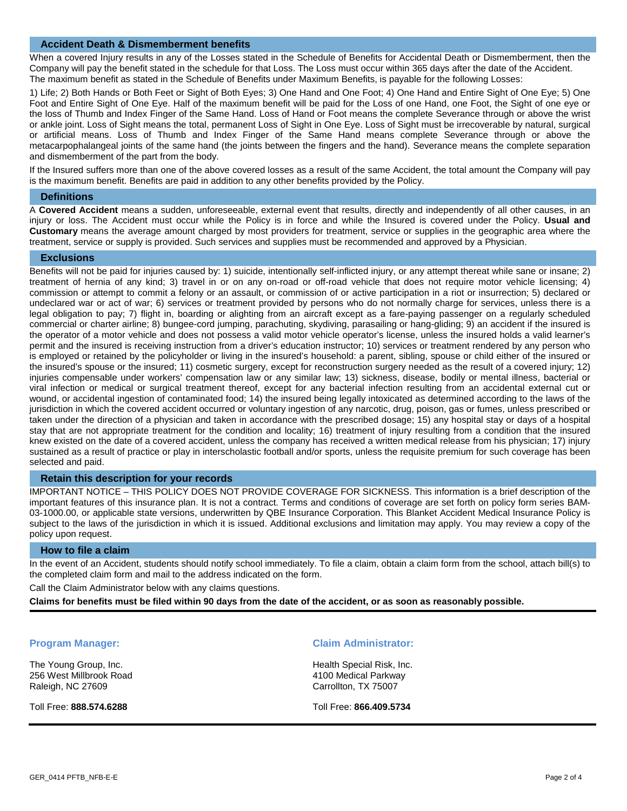### **Accident Death & Dismemberment benefits**

When a covered Injury results in any of the Losses stated in the Schedule of Benefits for Accidental Death or Dismemberment, then the Company will pay the benefit stated in the schedule for that Loss. The Loss must occur within 365 days after the date of the Accident. The maximum benefit as stated in the Schedule of Benefits under Maximum Benefits, is payable for the following Losses:

1) Life; 2) Both Hands or Both Feet or Sight of Both Eyes; 3) One Hand and One Foot; 4) One Hand and Entire Sight of One Eye; 5) One Foot and Entire Sight of One Eye. Half of the maximum benefit will be paid for the Loss of one Hand, one Foot, the Sight of one eye or the loss of Thumb and Index Finger of the Same Hand. Loss of Hand or Foot means the complete Severance through or above the wrist or ankle joint. Loss of Sight means the total, permanent Loss of Sight in One Eye. Loss of Sight must be irrecoverable by natural, surgical or artificial means. Loss of Thumb and Index Finger of the Same Hand means complete Severance through or above the metacarpophalangeal joints of the same hand (the joints between the fingers and the hand). Severance means the complete separation and dismemberment of the part from the body.

If the Insured suffers more than one of the above covered losses as a result of the same Accident, the total amount the Company will pay is the maximum benefit. Benefits are paid in addition to any other benefits provided by the Policy.

#### **Definitions**

A **Covered Accident** means a sudden, unforeseeable, external event that results, directly and independently of all other causes, in an injury or loss. The Accident must occur while the Policy is in force and while the Insured is covered under the Policy. **Usual and Customary** means the average amount charged by most providers for treatment, service or supplies in the geographic area where the treatment, service or supply is provided. Such services and supplies must be recommended and approved by a Physician.

#### **Exclusions**

Benefits will not be paid for injuries caused by: 1) suicide, intentionally self-inflicted injury, or any attempt thereat while sane or insane; 2) treatment of hernia of any kind; 3) travel in or on any on-road or off-road vehicle that does not require motor vehicle licensing; 4) commission or attempt to commit a felony or an assault, or commission of or active participation in a riot or insurrection; 5) declared or undeclared war or act of war; 6) services or treatment provided by persons who do not normally charge for services, unless there is a legal obligation to pay; 7) flight in, boarding or alighting from an aircraft except as a fare-paying passenger on a regularly scheduled commercial or charter airline; 8) bungee-cord jumping, parachuting, skydiving, parasailing or hang-gliding; 9) an accident if the insured is the operator of a motor vehicle and does not possess a valid motor vehicle operator's license, unless the insured holds a valid learner's permit and the insured is receiving instruction from a driver's education instructor; 10) services or treatment rendered by any person who is employed or retained by the policyholder or living in the insured's household: a parent, sibling, spouse or child either of the insured or the insured's spouse or the insured; 11) cosmetic surgery, except for reconstruction surgery needed as the result of a covered injury; 12) injuries compensable under workers' compensation law or any similar law; 13) sickness, disease, bodily or mental illness, bacterial or viral infection or medical or surgical treatment thereof, except for any bacterial infection resulting from an accidental external cut or wound, or accidental ingestion of contaminated food; 14) the insured being legally intoxicated as determined according to the laws of the jurisdiction in which the covered accident occurred or voluntary ingestion of any narcotic, drug, poison, gas or fumes, unless prescribed or taken under the direction of a physician and taken in accordance with the prescribed dosage; 15) any hospital stay or days of a hospital stay that are not appropriate treatment for the condition and locality; 16) treatment of injury resulting from a condition that the insured knew existed on the date of a covered accident, unless the company has received a written medical release from his physician; 17) injury sustained as a result of practice or play in interscholastic football and/or sports, unless the requisite premium for such coverage has been selected and paid.

# **Retain this description for your records**

IMPORTANT NOTICE – THIS POLICY DOES NOT PROVIDE COVERAGE FOR SICKNESS. This information is a brief description of the important features of this insurance plan. It is not a contract. Terms and conditions of coverage are set forth on policy form series BAM-03-1000.00, or applicable state versions, underwritten by QBE Insurance Corporation. This Blanket Accident Medical Insurance Policy is subject to the laws of the jurisdiction in which it is issued. Additional exclusions and limitation may apply. You may review a copy of the policy upon request.

#### **How to file a claim**

In the event of an Accident, students should notify school immediately. To file a claim, obtain a claim form from the school, attach bill(s) to the completed claim form and mail to the address indicated on the form.

Call the Claim Administrator below with any claims questions.

**Claims for benefits must be filed within 90 days from the date of the accident, or as soon as reasonably possible.** 

The Young Group, Inc. 256 West Millbrook Road Raleigh, NC 27609

Toll Free: **888.574.6288**

#### **Program Manager: Claim Administrator:**

Health Special Risk, Inc. 4100 Medical Parkway Carrollton, TX 75007

Toll Free: **866.409.5734**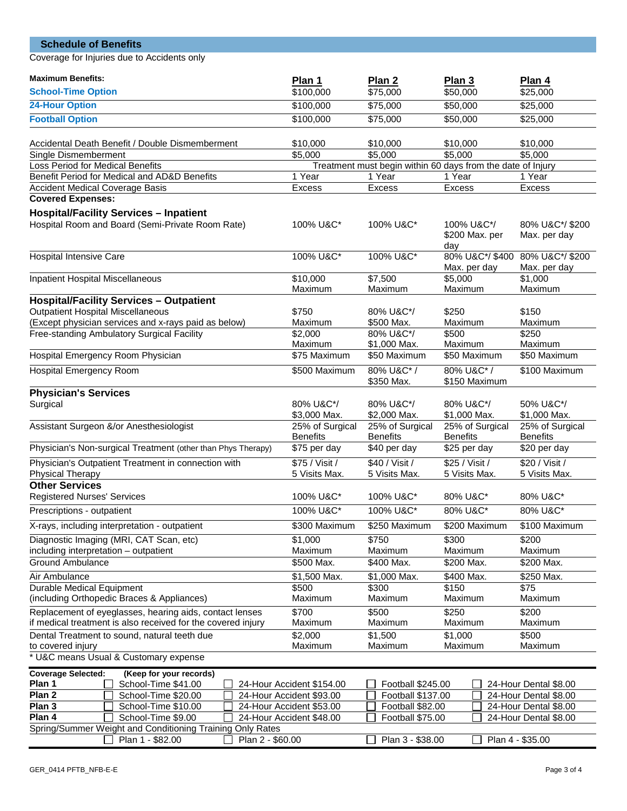| <b>Schedule of Benefits</b>                                                                                             |                                 |                                     |                                                                                   |                                 |  |  |  |  |  |
|-------------------------------------------------------------------------------------------------------------------------|---------------------------------|-------------------------------------|-----------------------------------------------------------------------------------|---------------------------------|--|--|--|--|--|
| Coverage for Injuries due to Accidents only                                                                             |                                 |                                     |                                                                                   |                                 |  |  |  |  |  |
| <b>Maximum Benefits:</b>                                                                                                | Plan 1                          | Plan 2                              | Plan 3                                                                            | Plan 4                          |  |  |  |  |  |
| <b>School-Time Option</b>                                                                                               | \$100,000                       | \$75,000                            | \$50,000                                                                          | \$25,000                        |  |  |  |  |  |
| <b>24-Hour Option</b>                                                                                                   | \$100,000                       | \$75,000                            | \$50,000                                                                          | \$25,000                        |  |  |  |  |  |
| <b>Football Option</b>                                                                                                  | \$100,000                       | \$75,000                            | \$50,000                                                                          | \$25,000                        |  |  |  |  |  |
|                                                                                                                         |                                 |                                     |                                                                                   |                                 |  |  |  |  |  |
| Accidental Death Benefit / Double Dismemberment                                                                         | \$10,000                        | \$10,000                            | \$10,000                                                                          | \$10,000                        |  |  |  |  |  |
| Single Dismemberment                                                                                                    | \$5,000                         | \$5,000                             | \$5,000<br>\$5,000<br>Treatment must begin within 60 days from the date of Injury |                                 |  |  |  |  |  |
| Loss Period for Medical Benefits<br>Benefit Period for Medical and AD&D Benefits                                        | 1 Year                          | 1 Year                              | 1 Year                                                                            | 1 Year                          |  |  |  |  |  |
| <b>Accident Medical Coverage Basis</b>                                                                                  | Excess                          | Excess                              | Excess                                                                            | <b>Excess</b>                   |  |  |  |  |  |
| <b>Covered Expenses:</b>                                                                                                |                                 |                                     |                                                                                   |                                 |  |  |  |  |  |
| <b>Hospital/Facility Services - Inpatient</b>                                                                           |                                 |                                     |                                                                                   |                                 |  |  |  |  |  |
| Hospital Room and Board (Semi-Private Room Rate)                                                                        | 100% U&C*                       | 100% U&C*/<br>\$200 Max. per<br>day | 80% U&C*/\$200<br>Max. per day                                                    |                                 |  |  |  |  |  |
| <b>Hospital Intensive Care</b>                                                                                          | 100% U&C*                       | 100% U&C*                           | 80% U&C*/\$400<br>Max. per day                                                    | 80% U&C*/\$200<br>Max. per day  |  |  |  |  |  |
| Inpatient Hospital Miscellaneous                                                                                        | \$10,000                        | \$7,500                             | \$5,000                                                                           | \$1,000                         |  |  |  |  |  |
|                                                                                                                         | Maximum                         | Maximum                             | Maximum                                                                           | Maximum                         |  |  |  |  |  |
| <b>Hospital/Facility Services - Outpatient</b>                                                                          |                                 |                                     |                                                                                   |                                 |  |  |  |  |  |
| <b>Outpatient Hospital Miscellaneous</b>                                                                                | \$750                           | 80% U&C*/                           | \$250                                                                             | \$150                           |  |  |  |  |  |
| (Except physician services and x-rays paid as below)<br>Free-standing Ambulatory Surgical Facility                      | Maximum<br>\$2,000              | \$500 Max.<br>80% U&C*/             | Maximum<br>\$500                                                                  | Maximum<br>\$250                |  |  |  |  |  |
|                                                                                                                         | Maximum                         | \$1,000 Max.                        | Maximum                                                                           | Maximum                         |  |  |  |  |  |
| Hospital Emergency Room Physician                                                                                       | \$75 Maximum                    | \$50 Maximum                        | \$50 Maximum                                                                      | \$50 Maximum                    |  |  |  |  |  |
| <b>Hospital Emergency Room</b>                                                                                          | \$500 Maximum                   | 80% U&C*/<br>\$350 Max.             | 80% U&C*/<br>\$150 Maximum                                                        | \$100 Maximum                   |  |  |  |  |  |
| <b>Physician's Services</b>                                                                                             |                                 |                                     |                                                                                   |                                 |  |  |  |  |  |
| Surgical                                                                                                                | 80% U&C*/<br>\$3,000 Max.       | 80% U&C*/<br>\$2,000 Max.           | 80% U&C*/<br>\$1,000 Max.                                                         | 50% U&C*/<br>\$1,000 Max.       |  |  |  |  |  |
| Assistant Surgeon &/or Anesthesiologist                                                                                 | 25% of Surgical                 | 25% of Surgical                     | 25% of Surgical                                                                   | 25% of Surgical                 |  |  |  |  |  |
| Physician's Non-surgical Treatment (other than Phys Therapy)                                                            | <b>Benefits</b><br>\$75 per day | <b>Benefits</b><br>\$40 per day     | <b>Benefits</b><br>\$25 per day                                                   | <b>Benefits</b><br>\$20 per day |  |  |  |  |  |
|                                                                                                                         | \$75 / Visit /                  | \$40 / Visit /                      | \$25 / Visit /                                                                    | \$20 / Visit /                  |  |  |  |  |  |
| Physician's Outpatient Treatment in connection with<br>Physical Therapy                                                 | 5 Visits Max.                   | 5 Visits Max.                       | 5 Visits Max.                                                                     | 5 Visits Max.                   |  |  |  |  |  |
| <b>Other Services</b>                                                                                                   |                                 |                                     |                                                                                   |                                 |  |  |  |  |  |
| <b>Registered Nurses' Services</b>                                                                                      | 100% U&C*                       | 100% U&C*                           | 80% U&C*                                                                          | 80% U&C*                        |  |  |  |  |  |
| Prescriptions - outpatient                                                                                              | 100% U&C*                       | 100% U&C*                           | 80% U&C*                                                                          | 80% U&C*                        |  |  |  |  |  |
| X-rays, including interpretation - outpatient                                                                           | \$300 Maximum                   | \$250 Maximum                       | \$200 Maximum                                                                     | \$100 Maximum                   |  |  |  |  |  |
| Diagnostic Imaging (MRI, CAT Scan, etc)                                                                                 | \$1,000                         | \$750                               | \$300                                                                             | \$200                           |  |  |  |  |  |
| including interpretation - outpatient                                                                                   | Maximum                         | Maximum                             | Maximum                                                                           | Maximum                         |  |  |  |  |  |
| <b>Ground Ambulance</b>                                                                                                 | \$500 Max.                      | \$400 Max.                          | \$200 Max.                                                                        | \$200 Max.                      |  |  |  |  |  |
| Air Ambulance<br><b>Durable Medical Equipment</b>                                                                       | \$1,500 Max.<br>\$500           | \$1,000 Max.<br>\$300               | \$400 Max.<br>\$150                                                               | \$250 Max.<br>\$75              |  |  |  |  |  |
| (including Orthopedic Braces & Appliances)                                                                              | Maximum                         | Maximum                             | Maximum                                                                           | Maximum                         |  |  |  |  |  |
| Replacement of eyeglasses, hearing aids, contact lenses<br>if medical treatment is also received for the covered injury | \$700<br>Maximum                | \$500<br>Maximum                    | \$250<br>Maximum                                                                  | \$200<br>Maximum                |  |  |  |  |  |
| Dental Treatment to sound, natural teeth due                                                                            | \$2,000                         | \$1,500                             | \$1,000                                                                           | \$500                           |  |  |  |  |  |
| to covered injury<br>* U&C means Usual & Customary expense                                                              | Maximum                         | Maximum                             | Maximum                                                                           | Maximum                         |  |  |  |  |  |
| (Keep for your records)<br><b>Coverage Selected:</b>                                                                    |                                 |                                     |                                                                                   |                                 |  |  |  |  |  |
| Plan 1<br>School-Time \$41.00                                                                                           | 24-Hour Accident \$154.00       | Football \$245.00                   |                                                                                   | 24-Hour Dental \$8.00           |  |  |  |  |  |
| Plan <sub>2</sub><br>School-Time \$20.00                                                                                | 24-Hour Accident \$93.00        | Football \$137.00                   | 24-Hour Dental \$8.00                                                             |                                 |  |  |  |  |  |
| Plan 3<br>School-Time \$10.00                                                                                           | 24-Hour Accident \$53.00        |                                     | Football \$82.00<br>24-Hour Dental \$8.00                                         |                                 |  |  |  |  |  |
| Plan 4<br>School-Time \$9.00<br>Spring/Summer Weight and Conditioning Training Only Rates                               | 24-Hour Accident \$48.00        | Football \$75.00                    |                                                                                   | 24-Hour Dental \$8.00           |  |  |  |  |  |
| Plan 1 - \$82.00<br>Plan 2 - \$60.00                                                                                    |                                 | Plan 3 - \$38.00                    |                                                                                   | Plan 4 - \$35.00                |  |  |  |  |  |